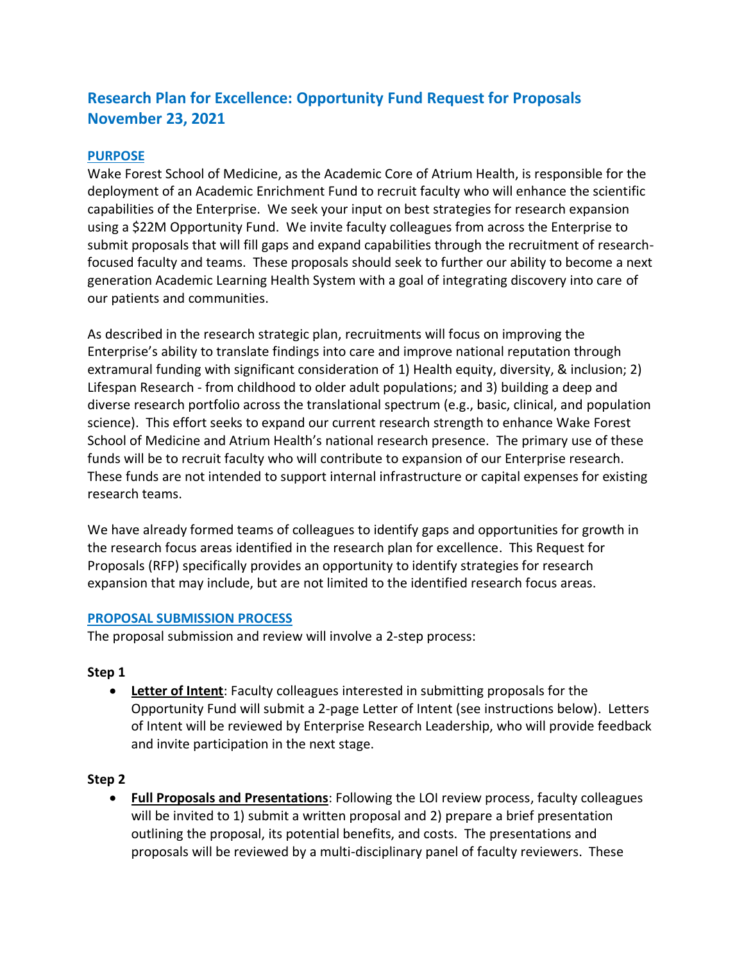# **Research Plan for Excellence: Opportunity Fund Request for Proposals November 23, 2021**

## **PURPOSE**

Wake Forest School of Medicine, as the Academic Core of Atrium Health, is responsible for the deployment of an Academic Enrichment Fund to recruit faculty who will enhance the scientific capabilities of the Enterprise. We seek your input on best strategies for research expansion using a \$22M Opportunity Fund. We invite faculty colleagues from across the Enterprise to submit proposals that will fill gaps and expand capabilities through the recruitment of researchfocused faculty and teams. These proposals should seek to further our ability to become a next generation Academic Learning Health System with a goal of integrating discovery into care of our patients and communities.

As described in the research strategic plan, recruitments will focus on improving the Enterprise's ability to translate findings into care and improve national reputation through extramural funding with significant consideration of 1) Health equity, diversity, & inclusion; 2) Lifespan Research - from childhood to older adult populations; and 3) building a deep and diverse research portfolio across the translational spectrum (e.g., basic, clinical, and population science). This effort seeks to expand our current research strength to enhance Wake Forest School of Medicine and Atrium Health's national research presence. The primary use of these funds will be to recruit faculty who will contribute to expansion of our Enterprise research. These funds are not intended to support internal infrastructure or capital expenses for existing research teams.

We have already formed teams of colleagues to identify gaps and opportunities for growth in the research focus areas identified in the research plan for excellence. This Request for Proposals (RFP) specifically provides an opportunity to identify strategies for research expansion that may include, but are not limited to the identified research focus areas.

#### **PROPOSAL SUBMISSION PROCESS**

The proposal submission and review will involve a 2-step process:

#### **Step 1**

• **Letter of Intent**: Faculty colleagues interested in submitting proposals for the Opportunity Fund will submit a 2-page Letter of Intent (see instructions below). Letters of Intent will be reviewed by Enterprise Research Leadership, who will provide feedback and invite participation in the next stage.

#### **Step 2**

• **Full Proposals and Presentations**: Following the LOI review process, faculty colleagues will be invited to 1) submit a written proposal and 2) prepare a brief presentation outlining the proposal, its potential benefits, and costs. The presentations and proposals will be reviewed by a multi-disciplinary panel of faculty reviewers. These